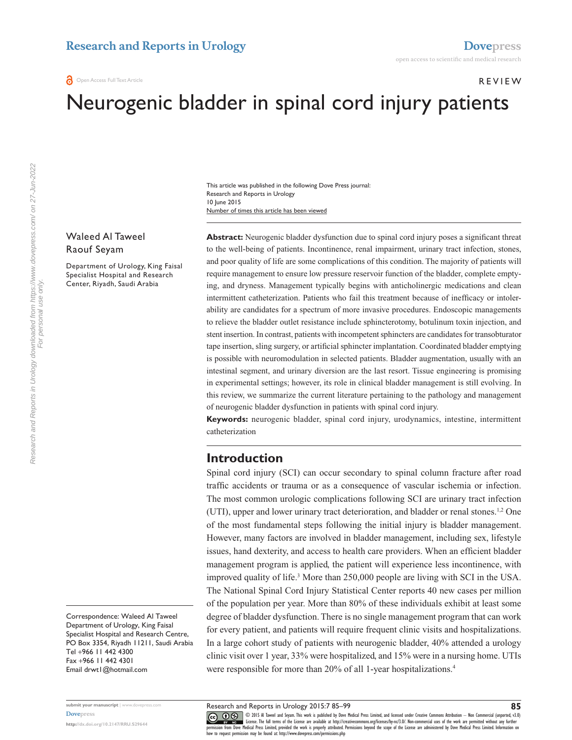#### Review

# Neurogenic bladder in spinal cord injury patients

Number of times this article has been viewed This article was published in the following Dove Press journal: Research and Reports in Urology 10 June 2015

# Waleed Al Taweel Raouf Seyam

Department of Urology, King Faisal Specialist Hospital and Research Center, Riyadh, Saudi Arabia

Abstract: Neurogenic bladder dysfunction due to spinal cord injury poses a significant threat to the well-being of patients. Incontinence, renal impairment, urinary tract infection, stones, and poor quality of life are some complications of this condition. The majority of patients will require management to ensure low pressure reservoir function of the bladder, complete emptying, and dryness. Management typically begins with anticholinergic medications and clean intermittent catheterization. Patients who fail this treatment because of inefficacy or intolerability are candidates for a spectrum of more invasive procedures. Endoscopic managements to relieve the bladder outlet resistance include sphincterotomy, botulinum toxin injection, and stent insertion. In contrast, patients with incompetent sphincters are candidates for transobturator tape insertion, sling surgery, or artificial sphincter implantation. Coordinated bladder emptying is possible with neuromodulation in selected patients. Bladder augmentation, usually with an intestinal segment, and urinary diversion are the last resort. Tissue engineering is promising in experimental settings; however, its role in clinical bladder management is still evolving. In this review, we summarize the current literature pertaining to the pathology and management of neurogenic bladder dysfunction in patients with spinal cord injury.

**Keywords:** neurogenic bladder, spinal cord injury, urodynamics, intestine, intermittent catheterization

# **Introduction**

Spinal cord injury (SCI) can occur secondary to spinal column fracture after road traffic accidents or trauma or as a consequence of vascular ischemia or infection. The most common urologic complications following SCI are urinary tract infection (UTI), upper and lower urinary tract deterioration, and bladder or renal stones.1,2 One of the most fundamental steps following the initial injury is bladder management. However, many factors are involved in bladder management, including sex, lifestyle issues, hand dexterity, and access to health care providers. When an efficient bladder management program is applied, the patient will experience less incontinence, with improved quality of life.<sup>3</sup> More than 250,000 people are living with SCI in the USA. The National Spinal Cord Injury Statistical Center reports 40 new cases per million of the population per year. More than 80% of these individuals exhibit at least some degree of bladder dysfunction. There is no single management program that can work for every patient, and patients will require frequent clinic visits and hospitalizations. In a large cohort study of patients with neurogenic bladder, 40% attended a urology clinic visit over 1 year, 33% were hospitalized, and 15% were in a nursing home. UTIs were responsible for more than 20% of all 1-year hospitalizations.<sup>4</sup>

Correspondence: Waleed Al Taweel Department of Urology, King Faisal Specialist Hospital and Research Centre, PO Box 3354, Riyadh 11211, Saudi Arabia Tel +966 11 442 4300 Fax +966 11 442 4301 Email [drwt1@hotmail.com](mailto:drwt1@hotmail.com)

**submit your manuscript** | <www.dovepress.com> **[Dovepress](www.dovepress.com)**

**<http://dx.doi.org/10.2147/RRU.S29644>**

CO OD 5 Al Taweel and Seyam. This work is published by Dove Medical Press Limited, and licensed under Creative Commons Attribution - Non Commercial (unported, v3.0)<br> [permission from Dove M](http://www.dovepress.com/permissions.php)edical Press Limited, provided the how to request permission may be found at:<http://www.dovepress.com/permissions.php>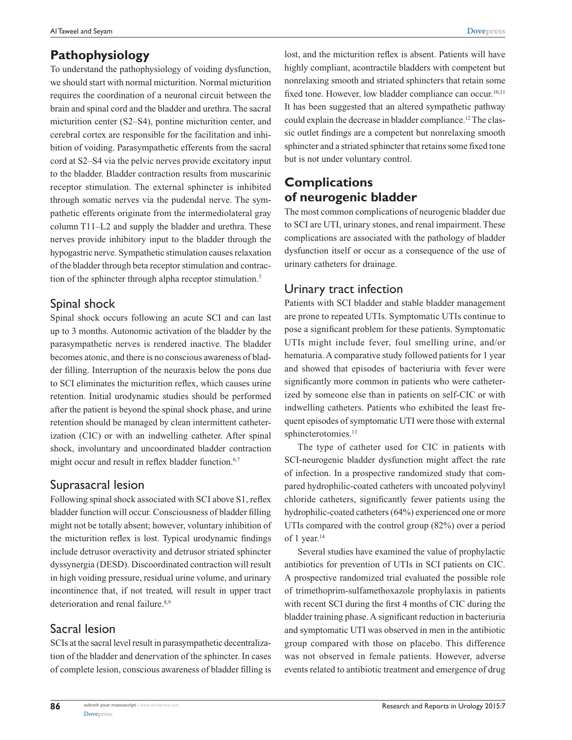# **Pathophysiology**

To understand the pathophysiology of voiding dysfunction, we should start with normal micturition. Normal micturition requires the coordination of a neuronal circuit between the brain and spinal cord and the bladder and urethra. The sacral micturition center (S2–S4), pontine micturition center, and cerebral cortex are responsible for the facilitation and inhibition of voiding. Parasympathetic efferents from the sacral cord at S2–S4 via the pelvic nerves provide excitatory input to the bladder. Bladder contraction results from muscarinic receptor stimulation. The external sphincter is inhibited through somatic nerves via the pudendal nerve. The sympathetic efferents originate from the intermediolateral gray column T11–L2 and supply the bladder and urethra. These nerves provide inhibitory input to the bladder through the hypogastric nerve. Sympathetic stimulation causes relaxation of the bladder through beta receptor stimulation and contraction of the sphincter through alpha receptor stimulation.<sup>5</sup>

# Spinal shock

Spinal shock occurs following an acute SCI and can last up to 3 months. Autonomic activation of the bladder by the parasympathetic nerves is rendered inactive. The bladder becomes atonic, and there is no conscious awareness of bladder filling. Interruption of the neuraxis below the pons due to SCI eliminates the micturition reflex, which causes urine retention. Initial urodynamic studies should be performed after the patient is beyond the spinal shock phase, and urine retention should be managed by clean intermittent catheterization (CIC) or with an indwelling catheter. After spinal shock, involuntary and uncoordinated bladder contraction might occur and result in reflex bladder function.<sup>6,7</sup>

# Suprasacral lesion

Following spinal shock associated with SCI above S1, reflex bladder function will occur. Consciousness of bladder filling might not be totally absent; however, voluntary inhibition of the micturition reflex is lost. Typical urodynamic findings include detrusor overactivity and detrusor striated sphincter dyssynergia (DESD). Discoordinated contraction will result in high voiding pressure, residual urine volume, and urinary incontinence that, if not treated, will result in upper tract deterioration and renal failure.<sup>8,9</sup>

# Sacral lesion

**86**

SCIs at the sacral level result in parasympathetic decentralization of the bladder and denervation of the sphincter. In cases of complete lesion, conscious awareness of bladder filling is lost, and the micturition reflex is absent. Patients will have highly compliant, acontractile bladders with competent but nonrelaxing smooth and striated sphincters that retain some fixed tone. However, low bladder compliance can occur.<sup>10,11</sup> It has been suggested that an altered sympathetic pathway could explain the decrease in bladder compliance.12 The classic outlet findings are a competent but nonrelaxing smooth sphincter and a striated sphincter that retains some fixed tone but is not under voluntary control.

# **Complications of neurogenic bladder**

The most common complications of neurogenic bladder due to SCI are UTI, urinary stones, and renal impairment. These complications are associated with the pathology of bladder dysfunction itself or occur as a consequence of the use of urinary catheters for drainage.

# Urinary tract infection

Patients with SCI bladder and stable bladder management are prone to repeated UTIs. Symptomatic UTIs continue to pose a significant problem for these patients. Symptomatic UTIs might include fever, foul smelling urine, and/or hematuria. A comparative study followed patients for 1 year and showed that episodes of bacteriuria with fever were significantly more common in patients who were catheterized by someone else than in patients on self-CIC or with indwelling catheters. Patients who exhibited the least frequent episodes of symptomatic UTI were those with external sphincterotomies.<sup>13</sup>

The type of catheter used for CIC in patients with SCI-neurogenic bladder dysfunction might affect the rate of infection. In a prospective randomized study that compared hydrophilic-coated catheters with uncoated polyvinyl chloride catheters, significantly fewer patients using the hydrophilic-coated catheters (64%) experienced one or more UTIs compared with the control group (82%) over a period of 1 year.<sup>14</sup>

Several studies have examined the value of prophylactic antibiotics for prevention of UTIs in SCI patients on CIC. A prospective randomized trial evaluated the possible role of trimethoprim-sulfamethoxazole prophylaxis in patients with recent SCI during the first 4 months of CIC during the bladder training phase. A significant reduction in bacteriuria and symptomatic UTI was observed in men in the antibiotic group compared with those on placebo. This difference was not observed in female patients. However, adverse events related to antibiotic treatment and emergence of drug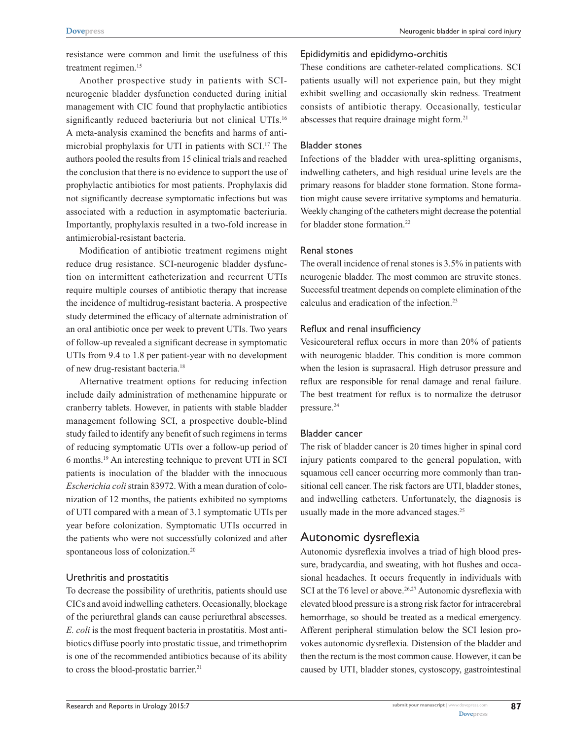resistance were common and limit the usefulness of this treatment regimen.<sup>15</sup>

Another prospective study in patients with SCIneurogenic bladder dysfunction conducted during initial management with CIC found that prophylactic antibiotics significantly reduced bacteriuria but not clinical UTIs.<sup>16</sup> A meta-analysis examined the benefits and harms of antimicrobial prophylaxis for UTI in patients with SCI.17 The authors pooled the results from 15 clinical trials and reached the conclusion that there is no evidence to support the use of prophylactic antibiotics for most patients. Prophylaxis did not significantly decrease symptomatic infections but was associated with a reduction in asymptomatic bacteriuria. Importantly, prophylaxis resulted in a two-fold increase in antimicrobial-resistant bacteria.

Modification of antibiotic treatment regimens might reduce drug resistance. SCI-neurogenic bladder dysfunction on intermittent catheterization and recurrent UTIs require multiple courses of antibiotic therapy that increase the incidence of multidrug-resistant bacteria. A prospective study determined the efficacy of alternate administration of an oral antibiotic once per week to prevent UTIs. Two years of follow-up revealed a significant decrease in symptomatic UTIs from 9.4 to 1.8 per patient-year with no development of new drug-resistant bacteria.18

Alternative treatment options for reducing infection include daily administration of methenamine hippurate or cranberry tablets. However, in patients with stable bladder management following SCI, a prospective double-blind study failed to identify any benefit of such regimens in terms of reducing symptomatic UTIs over a follow-up period of 6 months.19 An interesting technique to prevent UTI in SCI patients is inoculation of the bladder with the innocuous *Escherichia coli* strain 83972. With a mean duration of colonization of 12 months, the patients exhibited no symptoms of UTI compared with a mean of 3.1 symptomatic UTIs per year before colonization. Symptomatic UTIs occurred in the patients who were not successfully colonized and after spontaneous loss of colonization.<sup>20</sup>

## Urethritis and prostatitis

To decrease the possibility of urethritis, patients should use CICs and avoid indwelling catheters. Occasionally, blockage of the periurethral glands can cause periurethral abscesses. *E. coli* is the most frequent bacteria in prostatitis. Most antibiotics diffuse poorly into prostatic tissue, and trimethoprim is one of the recommended antibiotics because of its ability to cross the blood-prostatic barrier.<sup>21</sup>

#### Epididymitis and epididymo-orchitis

These conditions are catheter-related complications. SCI patients usually will not experience pain, but they might exhibit swelling and occasionally skin redness. Treatment consists of antibiotic therapy. Occasionally, testicular abscesses that require drainage might form.21

#### Bladder stones

Infections of the bladder with urea-splitting organisms, indwelling catheters, and high residual urine levels are the primary reasons for bladder stone formation. Stone formation might cause severe irritative symptoms and hematuria. Weekly changing of the catheters might decrease the potential for bladder stone formation.<sup>22</sup>

## Renal stones

The overall incidence of renal stones is 3.5% in patients with neurogenic bladder. The most common are struvite stones. Successful treatment depends on complete elimination of the calculus and eradication of the infection.23

#### Reflux and renal insufficiency

Vesicoureteral reflux occurs in more than 20% of patients with neurogenic bladder. This condition is more common when the lesion is suprasacral. High detrusor pressure and reflux are responsible for renal damage and renal failure. The best treatment for reflux is to normalize the detrusor pressure.24

## Bladder cancer

The risk of bladder cancer is 20 times higher in spinal cord injury patients compared to the general population, with squamous cell cancer occurring more commonly than transitional cell cancer. The risk factors are UTI, bladder stones, and indwelling catheters. Unfortunately, the diagnosis is usually made in the more advanced stages.<sup>25</sup>

## Autonomic dysreflexia

Autonomic dysreflexia involves a triad of high blood pressure, bradycardia, and sweating, with hot flushes and occasional headaches. It occurs frequently in individuals with SCI at the T6 level or above.<sup>26,27</sup> Autonomic dysreflexia with elevated blood pressure is a strong risk factor for intracerebral hemorrhage, so should be treated as a medical emergency. Afferent peripheral stimulation below the SCI lesion provokes autonomic dysreflexia. Distension of the bladder and then the rectum is the most common cause. However, it can be caused by UTI, bladder stones, cystoscopy, gastrointestinal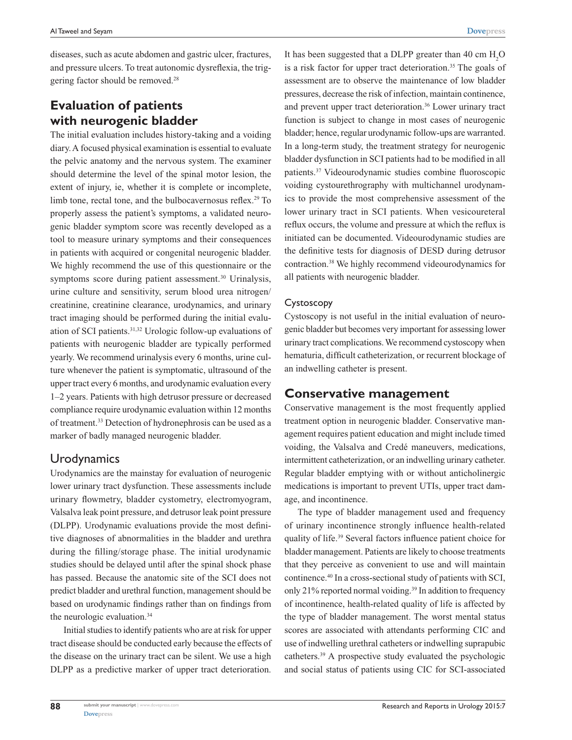diseases, such as acute abdomen and gastric ulcer, fractures, and pressure ulcers. To treat autonomic dysreflexia, the triggering factor should be removed.28

# **Evaluation of patients with neurogenic bladder**

The initial evaluation includes history-taking and a voiding diary. A focused physical examination is essential to evaluate the pelvic anatomy and the nervous system. The examiner should determine the level of the spinal motor lesion, the extent of injury, ie, whether it is complete or incomplete, limb tone, rectal tone, and the bulbocavernosus reflex.<sup>29</sup> To properly assess the patient's symptoms, a validated neurogenic bladder symptom score was recently developed as a tool to measure urinary symptoms and their consequences in patients with acquired or congenital neurogenic bladder. We highly recommend the use of this questionnaire or the symptoms score during patient assessment.<sup>30</sup> Urinalysis, urine culture and sensitivity, serum blood urea nitrogen/ creatinine, creatinine clearance, urodynamics, and urinary tract imaging should be performed during the initial evaluation of SCI patients.31,32 Urologic follow-up evaluations of patients with neurogenic bladder are typically performed yearly. We recommend urinalysis every 6 months, urine culture whenever the patient is symptomatic, ultrasound of the upper tract every 6 months, and urodynamic evaluation every 1–2 years. Patients with high detrusor pressure or decreased compliance require urodynamic evaluation within 12 months of treatment.33 Detection of hydronephrosis can be used as a marker of badly managed neurogenic bladder.

# **Urodynamics**

Urodynamics are the mainstay for evaluation of neurogenic lower urinary tract dysfunction. These assessments include urinary flowmetry, bladder cystometry, electromyogram, Valsalva leak point pressure, and detrusor leak point pressure (DLPP). Urodynamic evaluations provide the most definitive diagnoses of abnormalities in the bladder and urethra during the filling/storage phase. The initial urodynamic studies should be delayed until after the spinal shock phase has passed. Because the anatomic site of the SCI does not predict bladder and urethral function, management should be based on urodynamic findings rather than on findings from the neurologic evaluation.<sup>34</sup>

Initial studies to identify patients who are at risk for upper tract disease should be conducted early because the effects of the disease on the urinary tract can be silent. We use a high DLPP as a predictive marker of upper tract deterioration.

It has been suggested that a DLPP greater than 40 cm  $H_2O$ is a risk factor for upper tract deterioration.<sup>35</sup> The goals of assessment are to observe the maintenance of low bladder pressures, decrease the risk of infection, maintain continence, and prevent upper tract deterioration.36 Lower urinary tract function is subject to change in most cases of neurogenic bladder; hence, regular urodynamic follow-ups are warranted. In a long-term study, the treatment strategy for neurogenic bladder dysfunction in SCI patients had to be modified in all patients.37 Videourodynamic studies combine fluoroscopic voiding cystourethrography with multichannel urodynamics to provide the most comprehensive assessment of the lower urinary tract in SCI patients. When vesicoureteral reflux occurs, the volume and pressure at which the reflux is initiated can be documented. Videourodynamic studies are the definitive tests for diagnosis of DESD during detrusor contraction.38 We highly recommend videourodynamics for all patients with neurogenic bladder.

## Cystoscopy

Cystoscopy is not useful in the initial evaluation of neurogenic bladder but becomes very important for assessing lower urinary tract complications. We recommend cystoscopy when hematuria, difficult catheterization, or recurrent blockage of an indwelling catheter is present.

# **Conservative management**

Conservative management is the most frequently applied treatment option in neurogenic bladder. Conservative management requires patient education and might include timed voiding, the Valsalva and Credé maneuvers, medications, intermittent catheterization, or an indwelling urinary catheter. Regular bladder emptying with or without anticholinergic medications is important to prevent UTIs, upper tract damage, and incontinence.

The type of bladder management used and frequency of urinary incontinence strongly influence health-related quality of life.39 Several factors influence patient choice for bladder management. Patients are likely to choose treatments that they perceive as convenient to use and will maintain continence.40 In a cross-sectional study of patients with SCI, only 21% reported normal voiding.<sup>39</sup> In addition to frequency of incontinence, health-related quality of life is affected by the type of bladder management. The worst mental status scores are associated with attendants performing CIC and use of indwelling urethral catheters or indwelling suprapubic catheters.39 A prospective study evaluated the psychologic and social status of patients using CIC for SCI-associated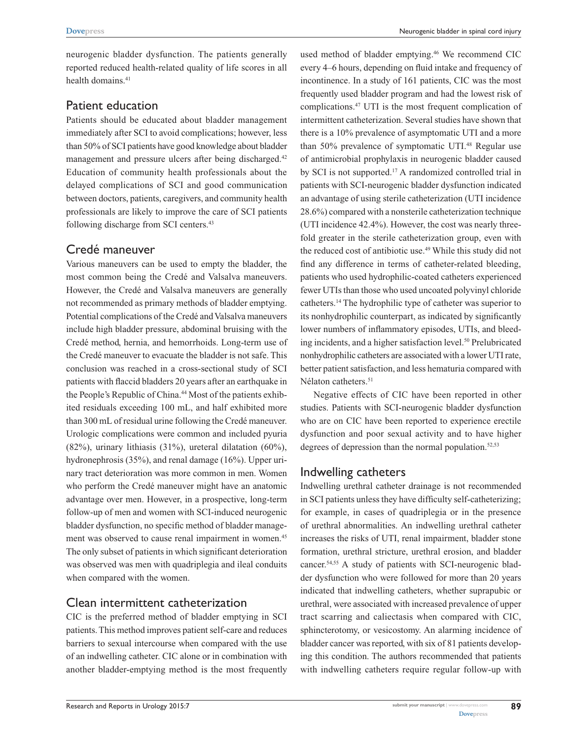neurogenic bladder dysfunction. The patients generally reported reduced health-related quality of life scores in all health domains.<sup>41</sup>

# Patient education

Patients should be educated about bladder management immediately after SCI to avoid complications; however, less than 50% of SCI patients have good knowledge about bladder management and pressure ulcers after being discharged.<sup>42</sup> Education of community health professionals about the delayed complications of SCI and good communication between doctors, patients, caregivers, and community health professionals are likely to improve the care of SCI patients following discharge from SCI centers.<sup>43</sup>

# Credé maneuver

Various maneuvers can be used to empty the bladder, the most common being the Credé and Valsalva maneuvers. However, the Credé and Valsalva maneuvers are generally not recommended as primary methods of bladder emptying. Potential complications of the Credé and Valsalva maneuvers include high bladder pressure, abdominal bruising with the Credé method, hernia, and hemorrhoids. Long-term use of the Credé maneuver to evacuate the bladder is not safe. This conclusion was reached in a cross-sectional study of SCI patients with flaccid bladders 20 years after an earthquake in the People's Republic of China.<sup>44</sup> Most of the patients exhibited residuals exceeding 100 mL, and half exhibited more than 300 mL of residual urine following the Credé maneuver. Urologic complications were common and included pyuria (82%), urinary lithiasis (31%), ureteral dilatation (60%), hydronephrosis (35%), and renal damage (16%). Upper urinary tract deterioration was more common in men. Women who perform the Credé maneuver might have an anatomic advantage over men. However, in a prospective, long-term follow-up of men and women with SCI-induced neurogenic bladder dysfunction, no specific method of bladder management was observed to cause renal impairment in women.<sup>45</sup> The only subset of patients in which significant deterioration was observed was men with quadriplegia and ileal conduits when compared with the women.

# Clean intermittent catheterization

CIC is the preferred method of bladder emptying in SCI patients. This method improves patient self-care and reduces barriers to sexual intercourse when compared with the use of an indwelling catheter. CIC alone or in combination with another bladder-emptying method is the most frequently used method of bladder emptying.<sup>46</sup> We recommend CIC every 4–6 hours, depending on fluid intake and frequency of incontinence. In a study of 161 patients, CIC was the most frequently used bladder program and had the lowest risk of complications.47 UTI is the most frequent complication of intermittent catheterization. Several studies have shown that there is a 10% prevalence of asymptomatic UTI and a more than 50% prevalence of symptomatic UTI.<sup>48</sup> Regular use of antimicrobial prophylaxis in neurogenic bladder caused by SCI is not supported.17 A randomized controlled trial in patients with SCI-neurogenic bladder dysfunction indicated an advantage of using sterile catheterization (UTI incidence 28.6%) compared with a nonsterile catheterization technique (UTI incidence 42.4%). However, the cost was nearly threefold greater in the sterile catheterization group, even with the reduced cost of antibiotic use.<sup>49</sup> While this study did not find any difference in terms of catheter-related bleeding, patients who used hydrophilic-coated catheters experienced fewer UTIs than those who used uncoated polyvinyl chloride catheters.14 The hydrophilic type of catheter was superior to its nonhydrophilic counterpart, as indicated by significantly lower numbers of inflammatory episodes, UTIs, and bleeding incidents, and a higher satisfaction level.<sup>50</sup> Prelubricated nonhydrophilic catheters are associated with a lower UTI rate, better patient satisfaction, and less hematuria compared with Nélaton catheters.<sup>51</sup>

Negative effects of CIC have been reported in other studies. Patients with SCI-neurogenic bladder dysfunction who are on CIC have been reported to experience erectile dysfunction and poor sexual activity and to have higher degrees of depression than the normal population. $52,53$ 

# Indwelling catheters

Indwelling urethral catheter drainage is not recommended in SCI patients unless they have difficulty self-catheterizing; for example, in cases of quadriplegia or in the presence of urethral abnormalities. An indwelling urethral catheter increases the risks of UTI, renal impairment, bladder stone formation, urethral stricture, urethral erosion, and bladder cancer.54,55 A study of patients with SCI-neurogenic bladder dysfunction who were followed for more than 20 years indicated that indwelling catheters, whether suprapubic or urethral, were associated with increased prevalence of upper tract scarring and caliectasis when compared with CIC, sphincterotomy, or vesicostomy. An alarming incidence of bladder cancer was reported, with six of 81 patients developing this condition. The authors recommended that patients with indwelling catheters require regular follow-up with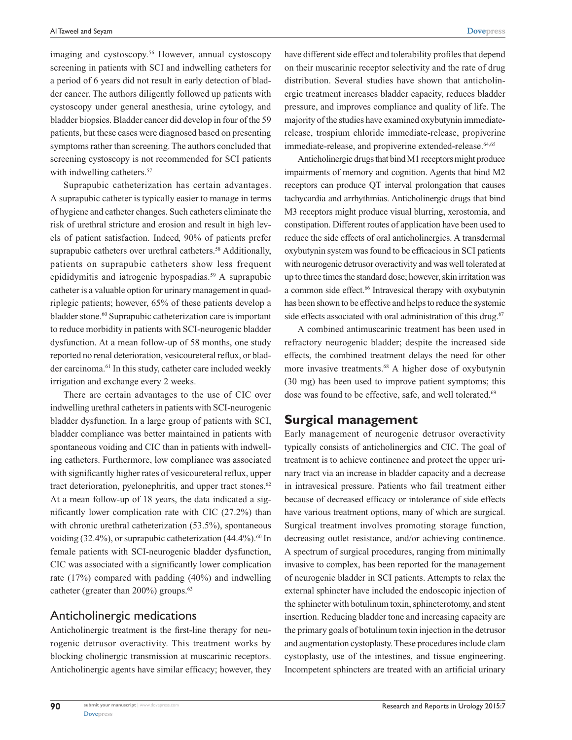imaging and cystoscopy.<sup>56</sup> However, annual cystoscopy screening in patients with SCI and indwelling catheters for a period of 6 years did not result in early detection of bladder cancer. The authors diligently followed up patients with cystoscopy under general anesthesia, urine cytology, and bladder biopsies. Bladder cancer did develop in four of the 59 patients, but these cases were diagnosed based on presenting symptoms rather than screening. The authors concluded that screening cystoscopy is not recommended for SCI patients with indwelling catheters.<sup>57</sup>

Suprapubic catheterization has certain advantages. A suprapubic catheter is typically easier to manage in terms of hygiene and catheter changes. Such catheters eliminate the risk of urethral stricture and erosion and result in high levels of patient satisfaction. Indeed, 90% of patients prefer suprapubic catheters over urethral catheters.<sup>58</sup> Additionally, patients on suprapubic catheters show less frequent epididymitis and iatrogenic hypospadias.<sup>59</sup> A suprapubic catheter is a valuable option for urinary management in quadriplegic patients; however, 65% of these patients develop a bladder stone.<sup>60</sup> Suprapubic catheterization care is important to reduce morbidity in patients with SCI-neurogenic bladder dysfunction. At a mean follow-up of 58 months, one study reported no renal deterioration, vesicoureteral reflux, or bladder carcinoma.<sup>61</sup> In this study, catheter care included weekly irrigation and exchange every 2 weeks.

There are certain advantages to the use of CIC over indwelling urethral catheters in patients with SCI-neurogenic bladder dysfunction. In a large group of patients with SCI, bladder compliance was better maintained in patients with spontaneous voiding and CIC than in patients with indwelling catheters. Furthermore, low compliance was associated with significantly higher rates of vesicoureteral reflux, upper tract deterioration, pyelonephritis, and upper tract stones. $62$ At a mean follow-up of 18 years, the data indicated a significantly lower complication rate with CIC (27.2%) than with chronic urethral catheterization (53.5%), spontaneous voiding  $(32.4\%)$ , or suprapubic catheterization  $(44.4\%)$ .<sup>60</sup> In female patients with SCI-neurogenic bladder dysfunction, CIC was associated with a significantly lower complication rate (17%) compared with padding (40%) and indwelling catheter (greater than 200%) groups.<sup>63</sup>

## Anticholinergic medications

Anticholinergic treatment is the first-line therapy for neurogenic detrusor overactivity. This treatment works by blocking cholinergic transmission at muscarinic receptors. Anticholinergic agents have similar efficacy; however, they have different side effect and tolerability profiles that depend on their muscarinic receptor selectivity and the rate of drug distribution. Several studies have shown that anticholinergic treatment increases bladder capacity, reduces bladder pressure, and improves compliance and quality of life. The majority of the studies have examined oxybutynin immediaterelease, trospium chloride immediate-release, propiverine immediate-release, and propiverine extended-release.<sup>64,65</sup>

Anticholinergic drugs that bind M1 receptors might produce impairments of memory and cognition. Agents that bind M2 receptors can produce QT interval prolongation that causes tachycardia and arrhythmias. Anticholinergic drugs that bind M3 receptors might produce visual blurring, xerostomia, and constipation. Different routes of application have been used to reduce the side effects of oral anticholinergics. A transdermal oxybutynin system was found to be efficacious in SCI patients with neurogenic detrusor overactivity and was well tolerated at up to three times the standard dose; however, skin irritation was a common side effect.<sup>66</sup> Intravesical therapy with oxybutynin has been shown to be effective and helps to reduce the systemic side effects associated with oral administration of this drug. $67$ 

A combined antimuscarinic treatment has been used in refractory neurogenic bladder; despite the increased side effects, the combined treatment delays the need for other more invasive treatments.<sup>68</sup> A higher dose of oxybutynin (30 mg) has been used to improve patient symptoms; this dose was found to be effective, safe, and well tolerated.<sup>69</sup>

## **Surgical management**

Early management of neurogenic detrusor overactivity typically consists of anticholinergics and CIC. The goal of treatment is to achieve continence and protect the upper urinary tract via an increase in bladder capacity and a decrease in intravesical pressure. Patients who fail treatment either because of decreased efficacy or intolerance of side effects have various treatment options, many of which are surgical. Surgical treatment involves promoting storage function, decreasing outlet resistance, and/or achieving continence. A spectrum of surgical procedures, ranging from minimally invasive to complex, has been reported for the management of neurogenic bladder in SCI patients. Attempts to relax the external sphincter have included the endoscopic injection of the sphincter with botulinum toxin, sphincterotomy, and stent insertion. Reducing bladder tone and increasing capacity are the primary goals of botulinum toxin injection in the detrusor and augmentation cystoplasty. These procedures include clam cystoplasty, use of the intestines, and tissue engineering. Incompetent sphincters are treated with an artificial urinary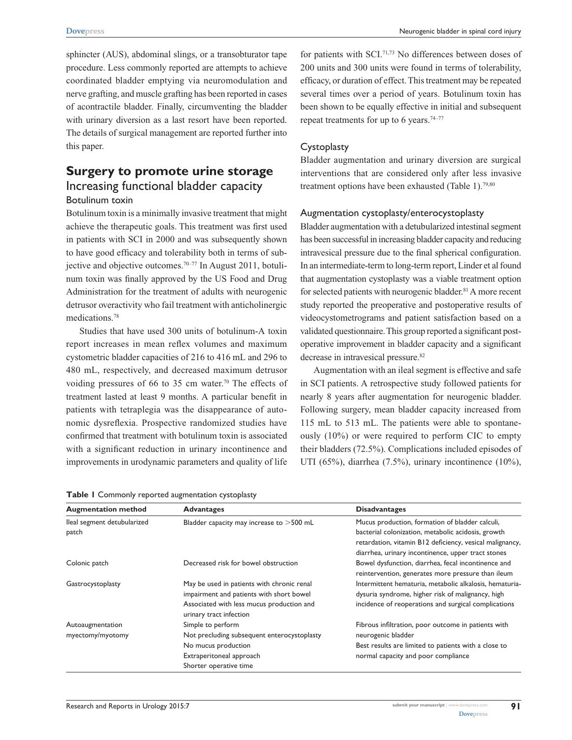sphincter (AUS), abdominal slings, or a transobturator tape procedure. Less commonly reported are attempts to achieve coordinated bladder emptying via neuromodulation and nerve grafting, and muscle grafting has been reported in cases of acontractile bladder. Finally, circumventing the bladder with urinary diversion as a last resort have been reported. The details of surgical management are reported further into this paper.

# **Surgery to promote urine storage** Increasing functional bladder capacity Botulinum toxin

Botulinum toxin is a minimally invasive treatment that might achieve the therapeutic goals. This treatment was first used in patients with SCI in 2000 and was subsequently shown to have good efficacy and tolerability both in terms of subjective and objective outcomes.70–77 In August 2011, botulinum toxin was finally approved by the US Food and Drug Administration for the treatment of adults with neurogenic detrusor overactivity who fail treatment with anticholinergic medications.78

Studies that have used 300 units of botulinum-A toxin report increases in mean reflex volumes and maximum cystometric bladder capacities of 216 to 416 mL and 296 to 480 mL, respectively, and decreased maximum detrusor voiding pressures of 66 to 35 cm water.<sup>70</sup> The effects of treatment lasted at least 9 months. A particular benefit in patients with tetraplegia was the disappearance of autonomic dysreflexia. Prospective randomized studies have confirmed that treatment with botulinum toxin is associated with a significant reduction in urinary incontinence and improvements in urodynamic parameters and quality of life

**Table 1** Commonly reported augmentation cystoplasty

for patients with SCI.71,73 No differences between doses of 200 units and 300 units were found in terms of tolerability, efficacy, or duration of effect. This treatment may be repeated several times over a period of years. Botulinum toxin has been shown to be equally effective in initial and subsequent repeat treatments for up to 6 years.<sup>74–77</sup>

#### **Cystoplasty**

Bladder augmentation and urinary diversion are surgical interventions that are considered only after less invasive treatment options have been exhausted (Table 1).<sup>79,80</sup>

## Augmentation cystoplasty/enterocystoplasty

Bladder augmentation with a detubularized intestinal segment has been successful in increasing bladder capacity and reducing intravesical pressure due to the final spherical configuration. In an intermediate-term to long-term report, Linder et al found that augmentation cystoplasty was a viable treatment option for selected patients with neurogenic bladder.<sup>81</sup> A more recent study reported the preoperative and postoperative results of videocystometrograms and patient satisfaction based on a validated questionnaire. This group reported a significant postoperative improvement in bladder capacity and a significant decrease in intravesical pressure.<sup>82</sup>

Augmentation with an ileal segment is effective and safe in SCI patients. A retrospective study followed patients for nearly 8 years after augmentation for neurogenic bladder. Following surgery, mean bladder capacity increased from 115 mL to 513 mL. The patients were able to spontaneously (10%) or were required to perform CIC to empty their bladders (72.5%). Complications included episodes of UTI (65%), diarrhea (7.5%), urinary incontinence (10%),

| <b>Augmentation method</b>  | <b>Advantages</b>                           | <b>Disadvantages</b>                                     |
|-----------------------------|---------------------------------------------|----------------------------------------------------------|
| lleal segment detubularized | Bladder capacity may increase to >500 mL    | Mucus production, formation of bladder calculi,          |
| patch                       |                                             | bacterial colonization, metabolic acidosis, growth       |
|                             |                                             | retardation, vitamin B12 deficiency, vesical malignancy, |
|                             |                                             | diarrhea, urinary incontinence, upper tract stones       |
| Colonic patch               | Decreased risk for bowel obstruction        | Bowel dysfunction, diarrhea, fecal incontinence and      |
|                             |                                             | reintervention, generates more pressure than ileum       |
| Gastrocystoplasty           | May be used in patients with chronic renal  | Intermittent hematuria, metabolic alkalosis, hematuria-  |
|                             | impairment and patients with short bowel    | dysuria syndrome, higher risk of malignancy, high        |
|                             | Associated with less mucus production and   | incidence of reoperations and surgical complications     |
|                             | urinary tract infection                     |                                                          |
| Autoaugmentation            | Simple to perform                           | Fibrous infiltration, poor outcome in patients with      |
| myectomy/myotomy            | Not precluding subsequent enterocystoplasty | neurogenic bladder                                       |
|                             | No mucus production                         | Best results are limited to patients with a close to     |
|                             | Extraperitoneal approach                    | normal capacity and poor compliance                      |
|                             | Shorter operative time                      |                                                          |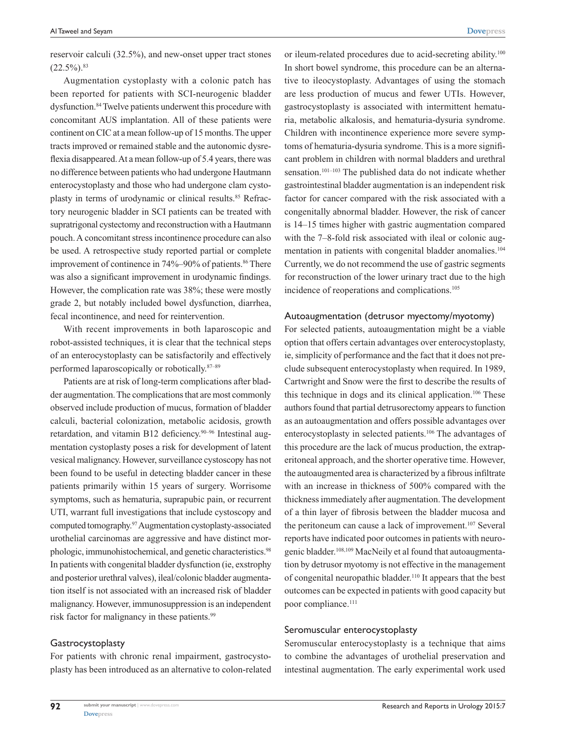reservoir calculi (32.5%), and new-onset upper tract stones  $(22.5\%)$ .  $83$ 

Augmentation cystoplasty with a colonic patch has been reported for patients with SCI-neurogenic bladder dysfunction.<sup>84</sup> Twelve patients underwent this procedure with concomitant AUS implantation. All of these patients were continent on CIC at a mean follow-up of 15 months. The upper tracts improved or remained stable and the autonomic dysreflexia disappeared. At a mean follow-up of 5.4 years, there was no difference between patients who had undergone Hautmann enterocystoplasty and those who had undergone clam cystoplasty in terms of urodynamic or clinical results.<sup>85</sup> Refractory neurogenic bladder in SCI patients can be treated with supratrigonal cystectomy and reconstruction with a Hautmann pouch. A concomitant stress incontinence procedure can also be used. A retrospective study reported partial or complete improvement of continence in 74%–90% of patients.<sup>86</sup> There was also a significant improvement in urodynamic findings. However, the complication rate was 38%; these were mostly grade 2, but notably included bowel dysfunction, diarrhea, fecal incontinence, and need for reintervention.

With recent improvements in both laparoscopic and robot-assisted techniques, it is clear that the technical steps of an enterocystoplasty can be satisfactorily and effectively performed laparoscopically or robotically.87–89

Patients are at risk of long-term complications after bladder augmentation. The complications that are most commonly observed include production of mucus, formation of bladder calculi, bacterial colonization, metabolic acidosis, growth retardation, and vitamin B12 deficiency.90–96 Intestinal augmentation cystoplasty poses a risk for development of latent vesical malignancy. However, surveillance cystoscopy has not been found to be useful in detecting bladder cancer in these patients primarily within 15 years of surgery. Worrisome symptoms, such as hematuria, suprapubic pain, or recurrent UTI, warrant full investigations that include cystoscopy and computed tomography.97 Augmentation cystoplasty-associated urothelial carcinomas are aggressive and have distinct morphologic, immunohistochemical, and genetic characteristics.<sup>98</sup> In patients with congenital bladder dysfunction (ie, exstrophy and posterior urethral valves), ileal/colonic bladder augmentation itself is not associated with an increased risk of bladder malignancy. However, immunosuppression is an independent risk factor for malignancy in these patients.<sup>99</sup>

#### Gastrocystoplasty

**92**

For patients with chronic renal impairment, gastrocystoplasty has been introduced as an alternative to colon-related or ileum-related procedures due to acid-secreting ability.100 In short bowel syndrome, this procedure can be an alternative to ileocystoplasty. Advantages of using the stomach are less production of mucus and fewer UTIs. However, gastrocystoplasty is associated with intermittent hematuria, metabolic alkalosis, and hematuria-dysuria syndrome. Children with incontinence experience more severe symptoms of hematuria-dysuria syndrome. This is a more significant problem in children with normal bladders and urethral sensation.<sup>101–103</sup> The published data do not indicate whether gastrointestinal bladder augmentation is an independent risk factor for cancer compared with the risk associated with a congenitally abnormal bladder. However, the risk of cancer is 14–15 times higher with gastric augmentation compared with the 7–8-fold risk associated with ileal or colonic augmentation in patients with congenital bladder anomalies.<sup>104</sup> Currently, we do not recommend the use of gastric segments for reconstruction of the lower urinary tract due to the high incidence of reoperations and complications.<sup>105</sup>

#### Autoaugmentation (detrusor myectomy/myotomy)

For selected patients, autoaugmentation might be a viable option that offers certain advantages over enterocystoplasty, ie, simplicity of performance and the fact that it does not preclude subsequent enterocystoplasty when required. In 1989, Cartwright and Snow were the first to describe the results of this technique in dogs and its clinical application.<sup>106</sup> These authors found that partial detrusorectomy appears to function as an autoaugmentation and offers possible advantages over enterocystoplasty in selected patients.106 The advantages of this procedure are the lack of mucus production, the extraperitoneal approach, and the shorter operative time. However, the autoaugmented area is characterized by a fibrous infiltrate with an increase in thickness of 500% compared with the thickness immediately after augmentation. The development of a thin layer of fibrosis between the bladder mucosa and the peritoneum can cause a lack of improvement.<sup>107</sup> Several reports have indicated poor outcomes in patients with neurogenic bladder.108,109 MacNeily et al found that autoaugmentation by detrusor myotomy is not effective in the management of congenital neuropathic bladder.<sup>110</sup> It appears that the best outcomes can be expected in patients with good capacity but poor compliance.<sup>111</sup>

#### Seromuscular enterocystoplasty

Seromuscular enterocystoplasty is a technique that aims to combine the advantages of urothelial preservation and intestinal augmentation. The early experimental work used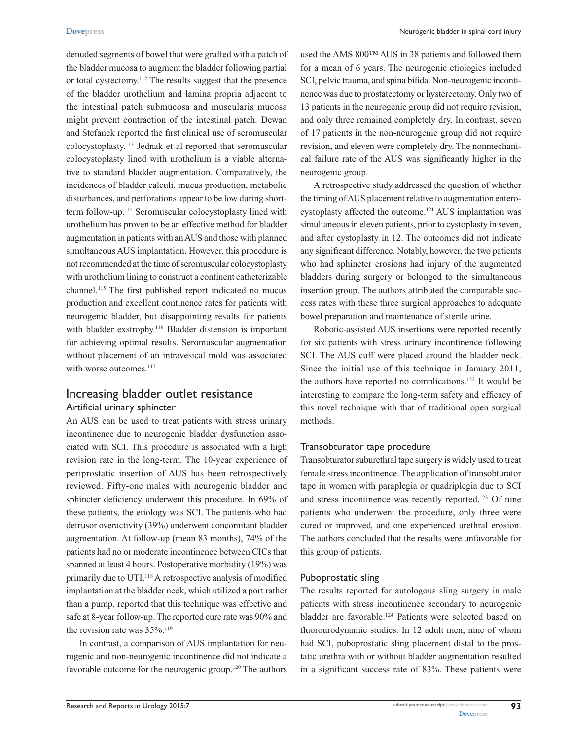denuded segments of bowel that were grafted with a patch of the bladder mucosa to augment the bladder following partial or total cystectomy.112 The results suggest that the presence of the bladder urothelium and lamina propria adjacent to the intestinal patch submucosa and muscularis mucosa might prevent contraction of the intestinal patch. Dewan and Stefanek reported the first clinical use of seromuscular colocystoplasty.113 Jednak et al reported that seromuscular colocystoplasty lined with urothelium is a viable alternative to standard bladder augmentation. Comparatively, the incidences of bladder calculi, mucus production, metabolic disturbances, and perforations appear to be low during shortterm follow-up.114 Seromuscular colocystoplasty lined with urothelium has proven to be an effective method for bladder augmentation in patients with an AUS and those with planned simultaneous AUS implantation. However, this procedure is not recommended at the time of seromuscular colocystoplasty with urothelium lining to construct a continent catheterizable channel.115 The first published report indicated no mucus production and excellent continence rates for patients with neurogenic bladder, but disappointing results for patients with bladder exstrophy.<sup>116</sup> Bladder distension is important for achieving optimal results. Seromuscular augmentation without placement of an intravesical mold was associated with worse outcomes.<sup>117</sup>

## Increasing bladder outlet resistance Artificial urinary sphincter

An AUS can be used to treat patients with stress urinary incontinence due to neurogenic bladder dysfunction associated with SCI. This procedure is associated with a high revision rate in the long-term. The 10-year experience of periprostatic insertion of AUS has been retrospectively reviewed. Fifty-one males with neurogenic bladder and sphincter deficiency underwent this procedure. In 69% of these patients, the etiology was SCI. The patients who had detrusor overactivity (39%) underwent concomitant bladder augmentation. At follow-up (mean 83 months), 74% of the patients had no or moderate incontinence between CICs that spanned at least 4 hours. Postoperative morbidity (19%) was primarily due to UTI.118 A retrospective analysis of modified implantation at the bladder neck, which utilized a port rather than a pump, reported that this technique was effective and safe at 8-year follow-up. The reported cure rate was 90% and the revision rate was  $35\%$ .<sup>119</sup>

In contrast, a comparison of AUS implantation for neurogenic and non-neurogenic incontinence did not indicate a favorable outcome for the neurogenic group.<sup>120</sup> The authors used the AMS 800™ AUS in 38 patients and followed them for a mean of 6 years. The neurogenic etiologies included SCI, pelvic trauma, and spina bifida. Non-neurogenic incontinence was due to prostatectomy or hysterectomy. Only two of 13 patients in the neurogenic group did not require revision, and only three remained completely dry. In contrast, seven of 17 patients in the non-neurogenic group did not require revision, and eleven were completely dry. The nonmechanical failure rate of the AUS was significantly higher in the neurogenic group.

A retrospective study addressed the question of whether the timing of AUS placement relative to augmentation enterocystoplasty affected the outcome.121 AUS implantation was simultaneous in eleven patients, prior to cystoplasty in seven, and after cystoplasty in 12. The outcomes did not indicate any significant difference. Notably, however, the two patients who had sphincter erosions had injury of the augmented bladders during surgery or belonged to the simultaneous insertion group. The authors attributed the comparable success rates with these three surgical approaches to adequate bowel preparation and maintenance of sterile urine.

Robotic-assisted AUS insertions were reported recently for six patients with stress urinary incontinence following SCI. The AUS cuff were placed around the bladder neck. Since the initial use of this technique in January 2011, the authors have reported no complications.122 It would be interesting to compare the long-term safety and efficacy of this novel technique with that of traditional open surgical methods.

## Transobturator tape procedure

Transobturator suburethral tape surgery is widely used to treat female stress incontinence. The application of transobturator tape in women with paraplegia or quadriplegia due to SCI and stress incontinence was recently reported.<sup>123</sup> Of nine patients who underwent the procedure, only three were cured or improved, and one experienced urethral erosion. The authors concluded that the results were unfavorable for this group of patients.

#### Puboprostatic sling

The results reported for autologous sling surgery in male patients with stress incontinence secondary to neurogenic bladder are favorable.124 Patients were selected based on fluorourodynamic studies. In 12 adult men, nine of whom had SCI, puboprostatic sling placement distal to the prostatic urethra with or without bladder augmentation resulted in a significant success rate of 83%. These patients were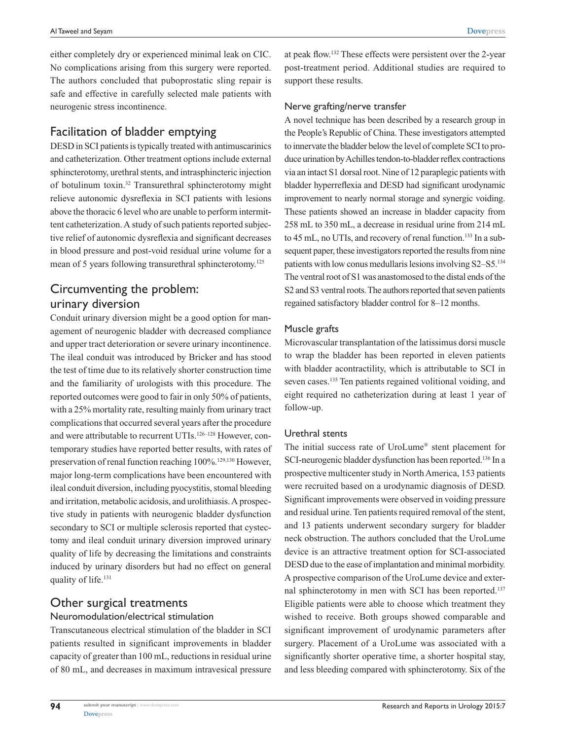**[Dovepress](www.dovepress.com)**

either completely dry or experienced minimal leak on CIC. No complications arising from this surgery were reported. The authors concluded that puboprostatic sling repair is safe and effective in carefully selected male patients with neurogenic stress incontinence.

# Facilitation of bladder emptying

DESD in SCI patients is typically treated with antimuscarinics and catheterization. Other treatment options include external sphincterotomy, urethral stents, and intrasphincteric injection of botulinum toxin.32 Transurethral sphincterotomy might relieve autonomic dysreflexia in SCI patients with lesions above the thoracic 6 level who are unable to perform intermittent catheterization. A study of such patients reported subjective relief of autonomic dysreflexia and significant decreases in blood pressure and post-void residual urine volume for a mean of 5 years following transurethral sphincterotomy.<sup>125</sup>

# Circumventing the problem: urinary diversion

Conduit urinary diversion might be a good option for management of neurogenic bladder with decreased compliance and upper tract deterioration or severe urinary incontinence. The ileal conduit was introduced by Bricker and has stood the test of time due to its relatively shorter construction time and the familiarity of urologists with this procedure. The reported outcomes were good to fair in only 50% of patients, with a 25% mortality rate, resulting mainly from urinary tract complications that occurred several years after the procedure and were attributable to recurrent UTIs.<sup>126–128</sup> However, contemporary studies have reported better results, with rates of preservation of renal function reaching 100%.<sup>129,130</sup> However, major long-term complications have been encountered with ileal conduit diversion, including pyocystitis, stomal bleeding and irritation, metabolic acidosis, and urolithiasis. A prospective study in patients with neurogenic bladder dysfunction secondary to SCI or multiple sclerosis reported that cystectomy and ileal conduit urinary diversion improved urinary quality of life by decreasing the limitations and constraints induced by urinary disorders but had no effect on general quality of life.<sup>131</sup>

# Other surgical treatments

## Neuromodulation/electrical stimulation

Transcutaneous electrical stimulation of the bladder in SCI patients resulted in significant improvements in bladder capacity of greater than 100 mL, reductions in residual urine of 80 mL, and decreases in maximum intravesical pressure at peak flow.132 These effects were persistent over the 2-year post-treatment period. Additional studies are required to support these results.

## Nerve grafting/nerve transfer

A novel technique has been described by a research group in the People's Republic of China. These investigators attempted to innervate the bladder below the level of complete SCI to produce urination by Achilles tendon-to-bladder reflex contractions via an intact S1 dorsal root. Nine of 12 paraplegic patients with bladder hyperreflexia and DESD had significant urodynamic improvement to nearly normal storage and synergic voiding. These patients showed an increase in bladder capacity from 258 mL to 350 mL, a decrease in residual urine from 214 mL to 45 mL, no UTIs, and recovery of renal function.<sup>133</sup> In a subsequent paper, these investigators reported the results from nine patients with low conus medullaris lesions involving S2–S5.134 The ventral root of S1 was anastomosed to the distal ends of the S2 and S3 ventral roots. The authors reported that seven patients regained satisfactory bladder control for 8–12 months.

## Muscle grafts

Microvascular transplantation of the latissimus dorsi muscle to wrap the bladder has been reported in eleven patients with bladder acontractility, which is attributable to SCI in seven cases.<sup>135</sup> Ten patients regained volitional voiding, and eight required no catheterization during at least 1 year of follow-up.

## Urethral stents

The initial success rate of UroLume® stent placement for SCI-neurogenic bladder dysfunction has been reported.136 In a prospective multicenter study in North America, 153 patients were recruited based on a urodynamic diagnosis of DESD. Significant improvements were observed in voiding pressure and residual urine. Ten patients required removal of the stent, and 13 patients underwent secondary surgery for bladder neck obstruction. The authors concluded that the UroLume device is an attractive treatment option for SCI-associated DESD due to the ease of implantation and minimal morbidity. A prospective comparison of the UroLume device and external sphincterotomy in men with SCI has been reported.<sup>137</sup> Eligible patients were able to choose which treatment they wished to receive. Both groups showed comparable and significant improvement of urodynamic parameters after surgery. Placement of a UroLume was associated with a significantly shorter operative time, a shorter hospital stay, and less bleeding compared with sphincterotomy. Six of the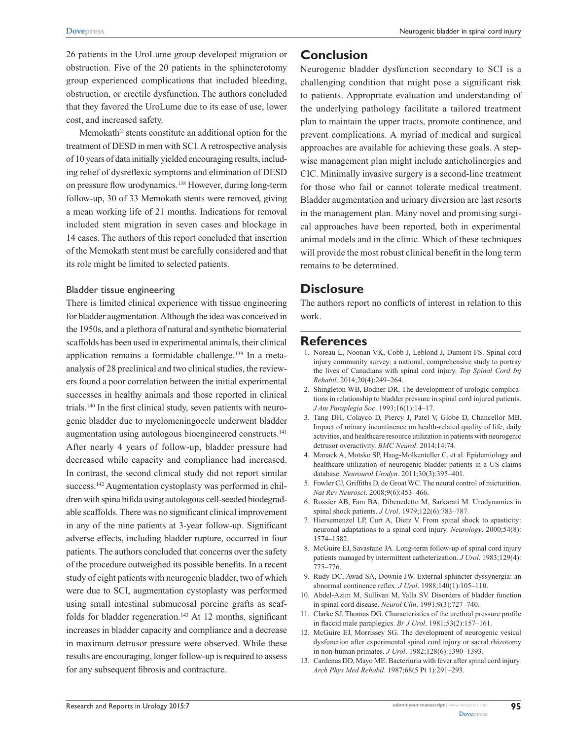26 patients in the UroLume group developed migration or obstruction. Five of the 20 patients in the sphincterotomy group experienced complications that included bleeding, obstruction, or erectile dysfunction. The authors concluded that they favored the UroLume due to its ease of use, lower cost, and increased safety.

Memokath® stents constitute an additional option for the treatment of DESD in men with SCI. A retrospective analysis of 10 years of data initially yielded encouraging results, including relief of dysreflexic symptoms and elimination of DESD on pressure flow urodynamics.138 However, during long-term follow-up, 30 of 33 Memokath stents were removed, giving a mean working life of 21 months. Indications for removal included stent migration in seven cases and blockage in 14 cases. The authors of this report concluded that insertion of the Memokath stent must be carefully considered and that its role might be limited to selected patients.

#### Bladder tissue engineering

There is limited clinical experience with tissue engineering for bladder augmentation. Although the idea was conceived in the 1950s, and a plethora of natural and synthetic biomaterial scaffolds has been used in experimental animals, their clinical application remains a formidable challenge.<sup>139</sup> In a metaanalysis of 28 preclinical and two clinical studies, the reviewers found a poor correlation between the initial experimental successes in healthy animals and those reported in clinical trials.140 In the first clinical study, seven patients with neurogenic bladder due to myelomeningocele underwent bladder augmentation using autologous bioengineered constructs.141 After nearly 4 years of follow-up, bladder pressure had decreased while capacity and compliance had increased. In contrast, the second clinical study did not report similar success.<sup>142</sup> Augmentation cystoplasty was performed in children with spina bifida using autologous cell-seeded biodegradable scaffolds. There was no significant clinical improvement in any of the nine patients at 3-year follow-up. Significant adverse effects, including bladder rupture, occurred in four patients. The authors concluded that concerns over the safety of the procedure outweighed its possible benefits. In a recent study of eight patients with neurogenic bladder, two of which were due to SCI, augmentation cystoplasty was performed using small intestinal submucosal porcine grafts as scaffolds for bladder regeneration.<sup>143</sup> At 12 months, significant increases in bladder capacity and compliance and a decrease in maximum detrusor pressure were observed. While these results are encouraging, longer follow-up is required to assess for any subsequent fibrosis and contracture.

# **Conclusion**

Neurogenic bladder dysfunction secondary to SCI is a challenging condition that might pose a significant risk to patients. Appropriate evaluation and understanding of the underlying pathology facilitate a tailored treatment plan to maintain the upper tracts, promote continence, and prevent complications. A myriad of medical and surgical approaches are available for achieving these goals. A stepwise management plan might include anticholinergics and CIC. Minimally invasive surgery is a second-line treatment for those who fail or cannot tolerate medical treatment. Bladder augmentation and urinary diversion are last resorts in the management plan. Many novel and promising surgical approaches have been reported, both in experimental animal models and in the clinic. Which of these techniques will provide the most robust clinical benefit in the long term remains to be determined.

# **Disclosure**

The authors report no conflicts of interest in relation to this work.

## **References**

- 1. Noreau L, Noonan VK, Cobb J, Leblond J, Dumont FS. Spinal cord injury community survey: a national, comprehensive study to portray the lives of Canadians with spinal cord injury. *Top Spinal Cord Inj Rehabil*. 2014;20(4):249–264.
- 2. Shingleton WB, Bodner DR. The development of urologic complications in relationship to bladder pressure in spinal cord injured patients. *J Am Paraplegia Soc*. 1993;16(1):14–17.
- 3. Tang DH, Colayco D, Piercy J, Patel V, Globe D, Chancellor MB. Impact of urinary incontinence on health-related quality of life, daily activities, and healthcare resource utilization in patients with neurogenic detrusor overactivity. *BMC Neurol*. 2014;14:74.
- 4. Manack A, Motsko SP, Haag-Molkenteller C, et al. Epidemiology and healthcare utilization of neurogenic bladder patients in a US claims database. *Neurourol Urodyn*. 2011;30(3):395–401.
- 5. Fowler CJ, Griffiths D, de Groat WC. The neural control of micturition. *Nat Rev Neurosci*. 2008;9(6):453–466.
- 6. Rossier AB, Fam BA, Dibenedetto M, Sarkarati M. Urodynamics in spinal shock patients. *J Urol*. 1979;122(6):783–787.
- 7. Hiersemenzel LP, Curt A, Dietz V. From spinal shock to spasticity: neuronal adaptations to a spinal cord injury. *Neurology*. 2000;54(8): 1574–1582.
- 8. McGuire EJ, Savastano JA. Long-term follow-up of spinal cord injury patients managed by intermittent catheterization. *J Urol*. 1983;129(4): 775–776.
- 9. Rudy DC, Awad SA, Downie JW. External sphincter dyssynergia: an abnormal continence reflex. *J Urol*. 1988;140(1):105–110.
- 10. Abdel-Azim M, Sullivan M, Yalla SV. Disorders of bladder function in spinal cord disease. *Neurol Clin*. 1991;9(3):727–740.
- 11. Clarke SJ, Thomas DG. Characteristics of the urethral pressure profile in flaccid male paraplegics. *Br J Urol*. 1981;53(2):157–161.
- 12. McGuire EJ, Morrissey SG. The development of neurogenic vesical dysfunction after experimental spinal cord injury or sacral rhizotomy in non-human primates. *J Urol*. 1982;128(6):1390–1393.
- 13. Cardenas DD, Mayo ME. Bacteriuria with fever after spinal cord injury. *Arch Phys Med Rehabil*. 1987;68(5 Pt 1):291–293.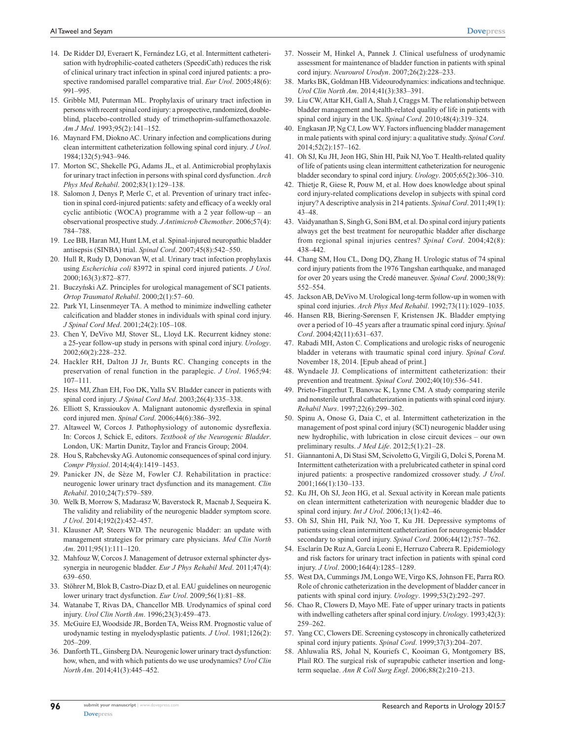- 14. De Ridder DJ, Everaert K, Fernández LG, et al. Intermittent catheterisation with hydrophilic-coated catheters (SpeediCath) reduces the risk of clinical urinary tract infection in spinal cord injured patients: a prospective randomised parallel comparative trial. *Eur Urol*. 2005;48(6): 991–995.
- 15. Gribble MJ, Puterman ML. Prophylaxis of urinary tract infection in persons with recent spinal cord injury: a prospective, randomized, doubleblind, placebo-controlled study of trimethoprim-sulfamethoxazole. *Am J Med*. 1993;95(2):141–152.
- 16. Maynard FM, Diokno AC. Urinary infection and complications during clean intermittent catheterization following spinal cord injury. *J Urol*. 1984;132(5):943–946.
- 17. Morton SC, Shekelle PG, Adams JL, et al. Antimicrobial prophylaxis for urinary tract infection in persons with spinal cord dysfunction. *Arch Phys Med Rehabil*. 2002;83(1):129–138.
- 18. Salomon J, Denys P, Merle C, et al. Prevention of urinary tract infection in spinal cord-injured patients: safety and efficacy of a weekly oral cyclic antibiotic (WOCA) programme with a 2 year follow-up – an observational prospective study. *J Antimicrob Chemother*. 2006;57(4): 784–788.
- 19. Lee BB, Haran MJ, Hunt LM, et al. Spinal-injured neuropathic bladder antisepsis (SINBA) trial. *Spinal Cord*. 2007;45(8):542–550.
- 20. Hull R, Rudy D, Donovan W, et al. Urinary tract infection prophylaxis using *Escherichia coli* 83972 in spinal cord injured patients. *J Urol*. 2000;163(3):872–877.
- 21. Buczyński AZ. Principles for urological management of SCI patients. *Ortop Traumatol Rehabil*. 2000;2(1):57–60.
- 22. Park YI, Linsenmeyer TA. A method to minimize indwelling catheter calcification and bladder stones in individuals with spinal cord injury. *J Spinal Cord Med*. 2001;24(2):105–108.
- 23. Chen Y, DeVivo MJ, Stover SL, Lloyd LK. Recurrent kidney stone: a 25-year follow-up study in persons with spinal cord injury. *Urology*. 2002;60(2):228–232.
- 24. Hackler RH, Dalton JJ Jr, Bunts RC. Changing concepts in the preservation of renal function in the paraplegic. *J Urol*. 1965;94: 107–111.
- 25. Hess MJ, Zhan EH, Foo DK, Yalla SV. Bladder cancer in patients with spinal cord injury. *J Spinal Cord Med*. 2003;26(4):335–338.
- 26. Elliott S, Krassioukov A. Malignant autonomic dysreflexia in spinal cord injured men. *Spinal Cord*. 2006;44(6):386–392.
- 27. Altaweel W, Corcos J. Pathophysiology of autonomic dysreflexia. In: Corcos J, Schick E, editors. *Textbook of the Neurogenic Bladder*. London, UK: Martin Dunitz, Taylor and Francis Group; 2004.
- 28. Hou S, Rabchevsky AG. Autonomic consequences of spinal cord injury. *Compr Physiol*. 2014;4(4):1419–1453.
- 29. Panicker JN, de Sèze M, Fowler CJ. Rehabilitation in practice: neurogenic lower urinary tract dysfunction and its management. *Clin Rehabil*. 2010;24(7):579–589.
- 30. Welk B, Morrow S, Madarasz W, Baverstock R, Macnab J, Sequeira K. The validity and reliability of the neurogenic bladder symptom score. *J Urol*. 2014;192(2):452–457.
- 31. Klausner AP, Steers WD. The neurogenic bladder: an update with management strategies for primary care physicians. *Med Clin North Am*. 2011;95(1):111–120.
- 32. Mahfouz W, Corcos J. Management of detrusor external sphincter dyssynergia in neurogenic bladder. *Eur J Phys Rehabil Med*. 2011;47(4): 639–650.
- 33. Stöhrer M, Blok B, Castro-Diaz D, et al. EAU guidelines on neurogenic lower urinary tract dysfunction. *Eur Urol*. 2009;56(1):81–88.
- 34. Watanabe T, Rivas DA, Chancellor MB. Urodynamics of spinal cord injury. *Urol Clin North Am*. 1996;23(3):459–473.
- 35. McGuire EJ, Woodside JR, Borden TA, Weiss RM. Prognostic value of urodynamic testing in myelodysplastic patients. *J Urol*. 1981;126(2): 205–209.
- 36. Danforth TL, Ginsberg DA. Neurogenic lower urinary tract dysfunction: how, when, and with which patients do we use urodynamics? *Urol Clin North Am*. 2014;41(3):445–452.
- 37. Nosseir M, Hinkel A, Pannek J. Clinical usefulness of urodynamic assessment for maintenance of bladder function in patients with spinal cord injury. *Neurourol Urodyn*. 2007;26(2):228–233.
- 38. Marks BK, Goldman HB. Videourodynamics: indications and technique. *Urol Clin North Am*. 2014;41(3):383–391.
- 39. Liu CW, Attar KH, Gall A, Shah J, Craggs M. The relationship between bladder management and health-related quality of life in patients with spinal cord injury in the UK. *Spinal Cord*. 2010;48(4):319–324.
- 40. Engkasan JP, Ng CJ, Low WY. Factors influencing bladder management in male patients with spinal cord injury: a qualitative study. *Spinal Cord*. 2014;52(2):157–162.
- 41. Oh SJ, Ku JH, Jeon HG, Shin HI, Paik NJ, Yoo T. Health-related quality of life of patients using clean intermittent catheterization for neurogenic bladder secondary to spinal cord injury. *Urology*. 2005;65(2):306–310.
- 42. Thietje R, Giese R, Pouw M, et al. How does knowledge about spinal cord injury-related complications develop in subjects with spinal cord injury? A descriptive analysis in 214 patients. *Spinal Cord*. 2011;49(1): 43–48.
- 43. Vaidyanathan S, Singh G, Soni BM, et al. Do spinal cord injury patients always get the best treatment for neuropathic bladder after discharge from regional spinal injuries centres? *Spinal Cord*. 2004;42(8): 438–442.
- 44. Chang SM, Hou CL, Dong DQ, Zhang H. Urologic status of 74 spinal cord injury patients from the 1976 Tangshan earthquake, and managed for over 20 years using the Credé maneuver. *Spinal Cord*. 2000;38(9): 552–554.
- 45. Jackson AB, DeVivo M. Urological long-term follow-up in women with spinal cord injuries. *Arch Phys Med Rehabil*. 1992;73(11):1029–1035.
- 46. Hansen RB, Biering-Sørensen F, Kristensen JK. Bladder emptying over a period of 10–45 years after a traumatic spinal cord injury. *Spinal Cord*. 2004;42(11):631–637.
- 47. Rabadi MH, Aston C. Complications and urologic risks of neurogenic bladder in veterans with traumatic spinal cord injury. *Spinal Cord*. November 18, 2014. [Epub ahead of print.]
- 48. Wyndaele JJ. Complications of intermittent catheterization: their prevention and treatment. *Spinal Cord*. 2002;40(10):536–541.
- 49. Prieto-Fingerhut T, Banovac K, Lynne CM. A study comparing sterile and nonsterile urethral catheterization in patients with spinal cord injury. *Rehabil Nurs*. 1997;22(6):299–302.
- 50. Spinu A, Onose G, Daia C, et al. Intermittent catheterization in the management of post spinal cord injury (SCI) neurogenic bladder using new hydrophilic, with lubrication in close circuit devices – our own preliminary results. *J Med Life*. 2012;5(1):21–28.
- 51. Giannantoni A, Di Stasi SM, Scivoletto G, Virgili G, Dolci S, Porena M. Intermittent catheterization with a prelubricated catheter in spinal cord injured patients: a prospective randomized crossover study. *J Urol*. 2001;166(1):130–133.
- 52. Ku JH, Oh SJ, Jeon HG, et al. Sexual activity in Korean male patients on clean intermittent catheterization with neurogenic bladder due to spinal cord injury. *Int J Urol*. 2006;13(1):42–46.
- 53. Oh SJ, Shin HI, Paik NJ, Yoo T, Ku JH. Depressive symptoms of patients using clean intermittent catheterization for neurogenic bladder secondary to spinal cord injury. *Spinal Cord*. 2006;44(12):757–762.
- 54. Esclarín De Ruz A, García Leoni E, Herruzo Cabrera R. Epidemiology and risk factors for urinary tract infection in patients with spinal cord injury. *J Urol*. 2000;164(4):1285–1289.
- 55. West DA, Cummings JM, Longo WE, Virgo KS, Johnson FE, Parra RO. Role of chronic catheterization in the development of bladder cancer in patients with spinal cord injury. *Urology*. 1999;53(2):292–297.
- 56. Chao R, Clowers D, Mayo ME. Fate of upper urinary tracts in patients with indwelling catheters after spinal cord injury. *Urology*. 1993;42(3): 259–262.
- 57. Yang CC, Clowers DE. Screening cystoscopy in chronically catheterized spinal cord injury patients. *Spinal Cord*. 1999;37(3):204–207.
- 58. Ahluwalia RS, Johal N, Kouriefs C, Kooiman G, Montgomery BS, Plail RO. The surgical risk of suprapubic catheter insertion and longterm sequelae. *Ann R Coll Surg Engl*. 2006;88(2):210–213.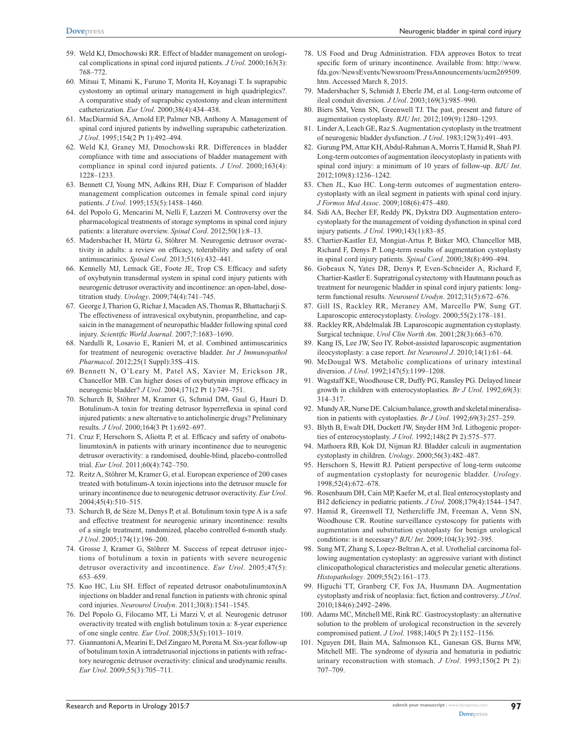- 59. Weld KJ, Dmochowski RR. Effect of bladder management on urological complications in spinal cord injured patients. *J Urol*. 2000;163(3): 768–772.
- 60. Mitsui T, Minami K, Furuno T, Morita H, Koyanagi T. Is suprapubic cystostomy an optimal urinary management in high quadriplegics?. A comparative study of suprapubic cystostomy and clean intermittent catheterization. *Eur Urol*. 2000;38(4):434–438.
- 61. MacDiarmid SA, Arnold EP, Palmer NB, Anthony A. Management of spinal cord injured patients by indwelling suprapubic catheterization. *J Urol*. 1995;154(2 Pt 1):492–494.
- 62. Weld KJ, Graney MJ, Dmochowski RR. Differences in bladder compliance with time and associations of bladder management with compliance in spinal cord injured patients. *J Urol*. 2000;163(4): 1228–1233.
- 63. Bennett CJ, Young MN, Adkins RH, Diaz F. Comparison of bladder management complication outcomes in female spinal cord injury patients. *J Urol*. 1995;153(5):1458–1460.
- 64. del Popolo G, Mencarini M, Nelli F, Lazzeri M. Controversy over the pharmacological treatments of storage symptoms in spinal cord injury patients: a literature overview. *Spinal Cord*. 2012;50(1):8–13.
- 65. Madersbacher H, Mürtz G, Stöhrer M. Neurogenic detrusor overactivity in adults: a review on efficacy, tolerability and safety of oral antimuscarinics. *Spinal Cord*. 2013;51(6):432–441.
- 66. Kennelly MJ, Lemack GE, Foote JE, Trop CS. Efficacy and safety of oxybutynin transdermal system in spinal cord injury patients with neurogenic detrusor overactivity and incontinence: an open-label, dosetitration study. *Urology*. 2009;74(4):741–745.
- 67. George J, Tharion G, Richar J, Macaden AS, Thomas R, Bhattacharji S. The effectiveness of intravesical oxybutynin, propantheline, and capsaicin in the management of neuropathic bladder following spinal cord injury. *Scientific World Journal*. 2007;7:1683–1690.
- 68. Nardulli R, Losavio E, Ranieri M, et al. Combined antimuscarinics for treatment of neurogenic overactive bladder. *Int J Immunopathol Pharmacol*. 2012;25(1 Suppl):35S–41S.
- 69. Bennett N, O'Leary M, Patel AS, Xavier M, Erickson JR, Chancellor MB. Can higher doses of oxybutynin improve efficacy in neurogenic bladder? *J Urol*. 2004;171(2 Pt 1):749–751.
- 70. Schurch B, Stöhrer M, Kramer G, Schmid DM, Gaul G, Hauri D. Botulinum-A toxin for treating detrusor hyperreflexia in spinal cord injured patients: a new alternative to anticholinergic drugs? Preliminary results. *J Urol*. 2000;164(3 Pt 1):692–697.
- 71. Cruz F, Herschorn S, Aliotta P, et al. Efficacy and safety of onabotulinumtoxinA in patients with urinary incontinence due to neurogenic detrusor overactivity: a randomised, double-blind, placebo-controlled trial. *Eur Urol*. 2011;60(4):742–750.
- 72. Reitz A, Stöhrer M, Kramer G, et al. European experience of 200 cases treated with botulinum-A toxin injections into the detrusor muscle for urinary incontinence due to neurogenic detrusor overactivity. *Eur Urol*. 2004;45(4):510–515.
- 73. Schurch B, de Sèze M, Denys P, et al. Botulinum toxin type A is a safe and effective treatment for neurogenic urinary incontinence: results of a single treatment, randomized, placebo controlled 6-month study. *J Urol*. 2005;174(1):196–200.
- 74. Grosse J, Kramer G, Stöhrer M. Success of repeat detrusor injections of botulinum a toxin in patients with severe neurogenic detrusor overactivity and incontinence. *Eur Urol*. 2005;47(5): 653–659.
- 75. Kuo HC, Liu SH. Effect of repeated detrusor onabotulinumtoxinA injections on bladder and renal function in patients with chronic spinal cord injuries. *Neurourol Urodyn*. 2011;30(8):1541–1545.
- 76. Del Popolo G, Filocamo MT, Li Marzi V, et al. Neurogenic detrusor overactivity treated with english botulinum toxin a: 8-year experience of one single centre. *Eur Urol*. 2008;53(5):1013–1019.
- 77. Giannantoni A, Mearini E, Del Zingaro M, Porena M. Six-year follow-up of botulinum toxin A intradetrusorial injections in patients with refractory neurogenic detrusor overactivity: clinical and urodynamic results. *Eur Urol*. 2009;55(3):705–711.
- 78. US Food and Drug Administration. FDA approves Botox to treat specific form of urinary incontinence. Available from: http://[www.](http://www.fda.gov/NewsEvents/Newsroom/PressAnnouncements/ucm269509.htm) [fda.gov/NewsEvents/Newsroom/PressAnnouncements/ucm269509.](http://www.fda.gov/NewsEvents/Newsroom/PressAnnouncements/ucm269509.htm) [htm](http://www.fda.gov/NewsEvents/Newsroom/PressAnnouncements/ucm269509.htm). Accessed March 8, 2015.
- 79. Madersbacher S, Schmidt J, Eberle JM, et al. Long-term outcome of ileal conduit diversion. *J Urol*. 2003;169(3):985–990.
- 80. Biers SM, Venn SN, Greenwell TJ. The past, present and future of augmentation cystoplasty. *BJU Int*. 2012;109(9):1280–1293.
- 81. Linder A, Leach GE, Raz S. Augmentation cystoplasty in the treatment of neurogenic bladder dysfunction. *J Urol*. 1983;129(3):491–493.
- 82. Gurung PM, Attar KH, Abdul-Rahman A, Morris T, Hamid R, Shah PJ. Long-term outcomes of augmentation ileocystoplasty in patients with spinal cord injury: a minimum of 10 years of follow-up. *BJU Int*. 2012;109(8):1236–1242.
- 83. Chen JL, Kuo HC. Long-term outcomes of augmentation enterocystoplasty with an ileal segment in patients with spinal cord injury. *J Formos Med Assoc*. 2009;108(6):475–480.
- 84. Sidi AA, Becher EF, Reddy PK, Dykstra DD. Augmentation enterocystoplasty for the management of voiding dysfunction in spinal cord injury patients. *J Urol*. 1990;143(1):83–85.
- 85. Chartier-Kastler EJ, Mongiat-Artus P, Bitker MO, Chancellor MB, Richard F, Denys P. Long-term results of augmentation cystoplasty in spinal cord injury patients. *Spinal Cord*. 2000;38(8):490–494.
- 86. Gobeaux N, Yates DR, Denys P, Even-Schneider A, Richard F, Chartier-Kastler E. Supratrigonal cystectomy with Hautmann pouch as treatment for neurogenic bladder in spinal cord injury patients: longterm functional results. *Neurourol Urodyn*. 2012;31(5):672–676.
- 87. Gill IS, Rackley RR, Meraney AM, Marcello PW, Sung GT. Laparoscopic enterocystoplasty. *Urology*. 2000;55(2):178–181.
- 88. Rackley RR, Abdelmalak JB. Laparoscopic augmentation cystoplasty. Surgical technique. *Urol Clin North Am*. 2001;28(3):663–670.
- 89. Kang IS, Lee JW, Seo IY. Robot-assisted laparoscopic augmentation ileocystoplasty: a case report. *Int Neurourol J*. 2010;14(1):61–64.
- 90. McDougal WS. Metabolic complications of urinary intestinal diversion. *J Urol*. 1992;147(5):1199–1208.
- 91. Wagstaff KE, Woodhouse CR, Duffy PG, Ransley PG. Delayed linear growth in children with enterocystoplasties. *Br J Urol*. 1992;69(3): 314–317.
- 92. Mundy AR, Nurse DE. Calcium balance, growth and skeletal mineralisation in patients with cystoplasties. *Br J Urol*. 1992;69(3):257–259.
- 93. Blyth B, Ewalt DH, Duckett JW, Snyder HM 3rd. Lithogenic properties of enterocystoplasty. *J Urol*. 1992;148(2 Pt 2):575–577.
- 94. Mathoera RB, Kok DJ, Nijman RJ. Bladder calculi in augmentation cystoplasty in children. *Urology*. 2000;56(3):482–487.
- 95. Herschorn S, Hewitt RJ. Patient perspective of long-term outcome of augmentation cystoplasty for neurogenic bladder. *Urology*. 1998;52(4):672–678.
- 96. Rosenbaum DH, Cain MP, Kaefer M, et al. Ileal enterocystoplasty and B12 deficiency in pediatric patients. *J Urol*. 2008;179(4):1544–1547.
- 97. Hamid R, Greenwell TJ, Nethercliffe JM, Freeman A, Venn SN, Woodhouse CR. Routine surveillance cystoscopy for patients with augmentation and substitution cystoplasty for benign urological conditions: is it necessary? *BJU Int*. 2009;104(3):392–395.
- 98. Sung MT, Zhang S, Lopez-Beltran A, et al. Urothelial carcinoma following augmentation cystoplasty: an aggressive variant with distinct clinicopathological characteristics and molecular genetic alterations. *Histopathology*. 2009;55(2):161–173.
- 99. Higuchi TT, Granberg CF, Fox JA, Husmann DA. Augmentation cystoplasty and risk of neoplasia: fact, fiction and controversy. *J Urol*. 2010;184(6):2492–2496.
- 100. Adams MC, Mitchell ME, Rink RC. Gastrocystoplasty: an alternative solution to the problem of urological reconstruction in the severely compromised patient. *J Urol*. 1988;140(5 Pt 2):1152–1156.
- 101. Nguyen DH, Bain MA, Salmonson KL, Ganesan GS, Burns MW, Mitchell ME. The syndrome of dysuria and hematuria in pediatric urinary reconstruction with stomach. *J Urol*. 1993;150(2 Pt 2): 707–709.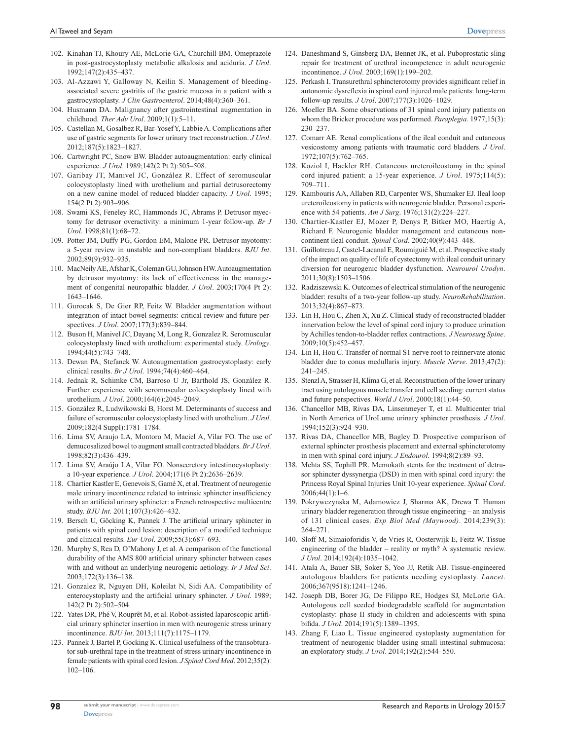- 102. Kinahan TJ, Khoury AE, McLorie GA, Churchill BM. Omeprazole in post-gastrocystoplasty metabolic alkalosis and aciduria. *J Urol*. 1992;147(2):435–437.
- 103. Al-Azzawi Y, Galloway N, Keilin S. Management of bleedingassociated severe gastritis of the gastric mucosa in a patient with a gastrocystoplasty. *J Clin Gastroenterol*. 2014;48(4):360–361.
- 104. Husmann DA. Malignancy after gastrointestinal augmentation in childhood. *Ther Adv Urol*. 2009;1(1):5–11.
- 105. Castellan M, Gosalbez R, Bar-Yosef Y, Labbie A. Complications after use of gastric segments for lower urinary tract reconstruction. *J Urol*. 2012;187(5):1823–1827.
- 106. Cartwright PC, Snow BW. Bladder autoaugmentation: early clinical experience. *J Urol*. 1989;142(2 Pt 2):505–508.
- 107. Garibay JT, Manivel JC, González R. Effect of seromuscular colocystoplasty lined with urothelium and partial detrusorectomy on a new canine model of reduced bladder capacity. *J Urol*. 1995; 154(2 Pt 2):903–906.
- 108. Swami KS, Feneley RC, Hammonds JC, Abrams P. Detrusor myectomy for detrusor overactivity: a minimum 1-year follow-up. *Br J Urol*. 1998;81(1):68–72.
- 109. Potter JM, Duffy PG, Gordon EM, Malone PR. Detrusor myotomy: a 5-year review in unstable and non-compliant bladders. *BJU Int*. 2002;89(9):932–935.
- 110. MacNeily AE, Afshar K, Coleman GU, Johnson HW. Autoaugmentation by detrusor myotomy: its lack of effectiveness in the management of congenital neuropathic bladder. *J Urol*. 2003;170(4 Pt 2): 1643–1646.
- 111. Gurocak S, De Gier RP, Feitz W. Bladder augmentation without integration of intact bowel segments: critical review and future perspectives. *J Urol*. 2007;177(3):839–844.
- 112. Buson H, Manivel JC, Dayanç M, Long R, Gonzalez R. Seromuscular colocystoplasty lined with urothelium: experimental study. *Urology*. 1994;44(5):743–748.
- 113. Dewan PA, Stefanek W. Autoaugmentation gastrocystoplasty: early clinical results. *Br J Urol*. 1994;74(4):460–464.
- 114. Jednak R, Schimke CM, Barroso U Jr, Barthold JS, González R. Further experience with seromuscular colocystoplasty lined with urothelium. *J Urol*. 2000;164(6):2045–2049.
- 115. González R, Ludwikowski B, Horst M. Determinants of success and failure of seromuscular colocystoplasty lined with urothelium. *J Urol*. 2009;182(4 Suppl):1781–1784.
- 116. Lima SV, Araujo LA, Montoro M, Maciel A, Vilar FO. The use of demucosalized bowel to augment small contracted bladders. *Br J Urol*. 1998;82(3):436–439.
- 117. Lima SV, Araújo LA, Vilar FO. Nonsecretory intestinocystoplasty: a 10-year experience. *J Urol*. 2004;171(6 Pt 2):2636–2639.
- 118. Chartier Kastler E, Genevois S, Gamé X, et al. Treatment of neurogenic male urinary incontinence related to intrinsic sphincter insufficiency with an artificial urinary sphincter: a French retrospective multicentre study. *BJU Int*. 2011;107(3):426–432.
- 119. Bersch U, Göcking K, Pannek J. The artificial urinary sphincter in patients with spinal cord lesion: description of a modified technique and clinical results. *Eur Urol*. 2009;55(3):687–693.
- 120. Murphy S, Rea D, O'Mahony J, et al. A comparison of the functional durability of the AMS 800 artificial urinary sphincter between cases with and without an underlying neurogenic aetiology. *Ir J Med Sci*. 2003;172(3):136–138.
- 121. Gonzalez R, Nguyen DH, Koleilat N, Sidi AA. Compatibility of enterocystoplasty and the artificial urinary sphincter. *J Urol*. 1989; 142(2 Pt 2):502–504.
- 122. Yates DR, Phé V, Rouprêt M, et al. Robot-assisted laparoscopic artificial urinary sphincter insertion in men with neurogenic stress urinary incontinence. *BJU Int*. 2013;111(7):1175–1179.
- 123. Pannek J, Bartel P, Gocking K. Clinical usefulness of the transobturator sub-urethral tape in the treatment of stress urinary incontinence in female patients with spinal cord lesion. *J Spinal Cord Med*. 2012;35(2): 102–106.
- 124. Daneshmand S, Ginsberg DA, Bennet JK, et al. Puboprostatic sling repair for treatment of urethral incompetence in adult neurogenic incontinence. *J Urol*. 2003;169(1):199–202.
- 125. Perkash I. Transurethral sphincterotomy provides significant relief in autonomic dysreflexia in spinal cord injured male patients: long-term follow-up results. *J Urol*. 2007;177(3):1026–1029.
- 126. Moeller BA. Some observations of 31 spinal cord injury patients on whom the Bricker procedure was performed. *Paraplegia*. 1977;15(3): 230–237.
- 127. Comarr AE. Renal complications of the ileal conduit and cutaneous vesicostomy among patients with traumatic cord bladders. *J Urol*. 1972;107(5):762–765.
- 128. Koziol I, Hackler RH. Cutaneous ureteroileostomy in the spinal cord injured patient: a 15-year experience. *J Urol*. 1975;114(5): 709–711.
- 129. Kambouris AA, Allaben RD, Carpenter WS, Shumaker EJ. Ileal loop ureteroileostomy in patients with neurogenic bladder. Personal experience with 54 patients. *Am J Surg*. 1976;131(2):224–227.
- 130. Chartier-Kastler EJ, Mozer P, Denys P, Bitker MO, Haertig A, Richard F. Neurogenic bladder management and cutaneous noncontinent ileal conduit. *Spinal Cord*. 2002;40(9):443–448.
- 131. Guillotreau J, Castel-Lacanal E, Roumiguié M, et al. Prospective study of the impact on quality of life of cystectomy with ileal conduit urinary diversion for neurogenic bladder dysfunction. *Neurourol Urodyn*. 2011;30(8):1503–1506.
- 132. Radziszewski K. Outcomes of electrical stimulation of the neurogenic bladder: results of a two-year follow-up study. *NeuroRehabilitation*. 2013;32(4):867–873.
- 133. Lin H, Hou C, Zhen X, Xu Z. Clinical study of reconstructed bladder innervation below the level of spinal cord injury to produce urination by Achilles tendon-to-bladder reflex contractions. *J Neurosurg Spine*. 2009;10(5):452–457.
- 134. Lin H, Hou C. Transfer of normal S1 nerve root to reinnervate atonic bladder due to conus medullaris injury. *Muscle Nerve*. 2013;47(2): 241–245.
- 135. Stenzl A, Strasser H, Klima G, et al. Reconstruction of the lower urinary tract using autologous muscle transfer and cell seeding: current status and future perspectives. *World J Urol*. 2000;18(1):44–50.
- 136. Chancellor MB, Rivas DA, Linsenmeyer T, et al. Multicenter trial in North America of UroLume urinary sphincter prosthesis. *J Urol*. 1994;152(3):924–930.
- 137. Rivas DA, Chancellor MB, Bagley D. Prospective comparison of external sphincter prosthesis placement and external sphincterotomy in men with spinal cord injury. *J Endourol*. 1994;8(2):89–93.
- 138. Mehta SS, Tophill PR. Memokath stents for the treatment of detrusor sphincter dyssynergia (DSD) in men with spinal cord injury: the Princess Royal Spinal Injuries Unit 10-year experience. *Spinal Cord*. 2006;44(1):1–6.
- 139. Pokrywczynska M, Adamowicz J, Sharma AK, Drewa T. Human urinary bladder regeneration through tissue engineering – an analysis of 131 clinical cases. *Exp Biol Med (Maywood)*. 2014;239(3): 264–271.
- 140. Sloff M, Simaioforidis V, de Vries R, Oosterwijk E, Feitz W. Tissue engineering of the bladder – reality or myth? A systematic review. *J Urol*. 2014;192(4):1035–1042.
- 141. Atala A, Bauer SB, Soker S, Yoo JJ, Retik AB. Tissue-engineered autologous bladders for patients needing cystoplasty. *Lancet*. 2006;367(9518):1241–1246.
- 142. Joseph DB, Borer JG, De Filippo RE, Hodges SJ, McLorie GA. Autologous cell seeded biodegradable scaffold for augmentation cystoplasty: phase II study in children and adolescents with spina bifida. *J Urol*. 2014;191(5):1389–1395.
- 143. Zhang F, Liao L. Tissue engineered cystoplasty augmentation for treatment of neurogenic bladder using small intestinal submucosa: an exploratory study. *J Urol*. 2014;192(2):544–550.